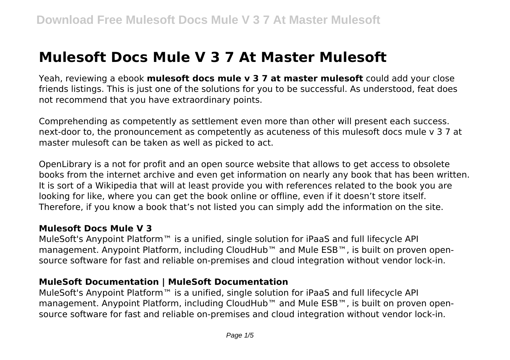# **Mulesoft Docs Mule V 3 7 At Master Mulesoft**

Yeah, reviewing a ebook **mulesoft docs mule v 3 7 at master mulesoft** could add your close friends listings. This is just one of the solutions for you to be successful. As understood, feat does not recommend that you have extraordinary points.

Comprehending as competently as settlement even more than other will present each success. next-door to, the pronouncement as competently as acuteness of this mulesoft docs mule v 3 7 at master mulesoft can be taken as well as picked to act.

OpenLibrary is a not for profit and an open source website that allows to get access to obsolete books from the internet archive and even get information on nearly any book that has been written. It is sort of a Wikipedia that will at least provide you with references related to the book you are looking for like, where you can get the book online or offline, even if it doesn't store itself. Therefore, if you know a book that's not listed you can simply add the information on the site.

## **Mulesoft Docs Mule V 3**

MuleSoft's Anypoint Platform<sup>™</sup> is a unified, single solution for iPaaS and full lifecycle API management. Anypoint Platform, including CloudHub™ and Mule ESB™, is built on proven opensource software for fast and reliable on-premises and cloud integration without vendor lock-in.

## **MuleSoft Documentation | MuleSoft Documentation**

MuleSoft's Anypoint Platform™ is a unified, single solution for iPaaS and full lifecycle API management. Anypoint Platform, including CloudHub™ and Mule ESB™, is built on proven opensource software for fast and reliable on-premises and cloud integration without vendor lock-in.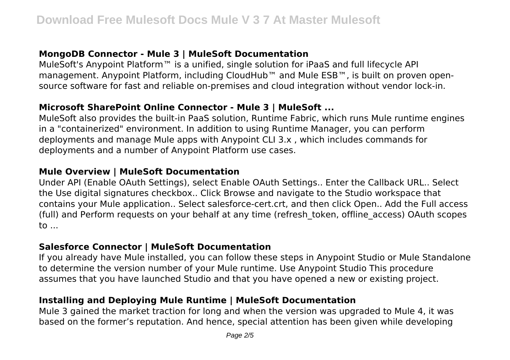# **MongoDB Connector - Mule 3 | MuleSoft Documentation**

MuleSoft's Anypoint Platform™ is a unified, single solution for iPaaS and full lifecycle API management. Anypoint Platform, including CloudHub™ and Mule ESB™, is built on proven opensource software for fast and reliable on-premises and cloud integration without vendor lock-in.

# **Microsoft SharePoint Online Connector - Mule 3 | MuleSoft ...**

MuleSoft also provides the built-in PaaS solution, Runtime Fabric, which runs Mule runtime engines in a "containerized" environment. In addition to using Runtime Manager, you can perform deployments and manage Mule apps with Anypoint CLI 3.x , which includes commands for deployments and a number of Anypoint Platform use cases.

## **Mule Overview | MuleSoft Documentation**

Under API (Enable OAuth Settings), select Enable OAuth Settings.. Enter the Callback URL.. Select the Use digital signatures checkbox.. Click Browse and navigate to the Studio workspace that contains your Mule application.. Select salesforce-cert.crt, and then click Open.. Add the Full access (full) and Perform requests on your behalf at any time (refresh\_token, offline\_access) OAuth scopes to ...

## **Salesforce Connector | MuleSoft Documentation**

If you already have Mule installed, you can follow these steps in Anypoint Studio or Mule Standalone to determine the version number of your Mule runtime. Use Anypoint Studio This procedure assumes that you have launched Studio and that you have opened a new or existing project.

# **Installing and Deploying Mule Runtime | MuleSoft Documentation**

Mule 3 gained the market traction for long and when the version was upgraded to Mule 4, it was based on the former's reputation. And hence, special attention has been given while developing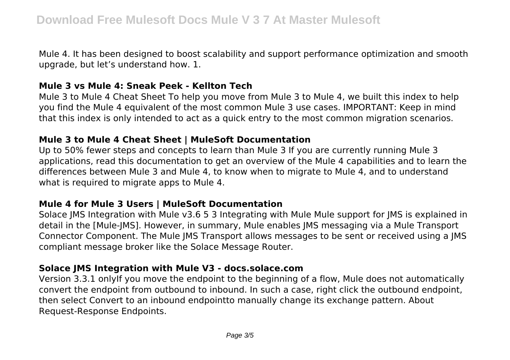Mule 4. It has been designed to boost scalability and support performance optimization and smooth upgrade, but let's understand how. 1.

#### **Mule 3 vs Mule 4: Sneak Peek - Kellton Tech**

Mule 3 to Mule 4 Cheat Sheet To help you move from Mule 3 to Mule 4, we built this index to help you find the Mule 4 equivalent of the most common Mule 3 use cases. IMPORTANT: Keep in mind that this index is only intended to act as a quick entry to the most common migration scenarios.

## **Mule 3 to Mule 4 Cheat Sheet | MuleSoft Documentation**

Up to 50% fewer steps and concepts to learn than Mule 3 If you are currently running Mule 3 applications, read this documentation to get an overview of the Mule 4 capabilities and to learn the differences between Mule 3 and Mule 4, to know when to migrate to Mule 4, and to understand what is required to migrate apps to Mule 4.

## **Mule 4 for Mule 3 Users | MuleSoft Documentation**

Solace JMS Integration with Mule v3.6 5 3 Integrating with Mule Mule support for JMS is explained in detail in the [Mule-JMS]. However, in summary, Mule enables JMS messaging via a Mule Transport Connector Component. The Mule JMS Transport allows messages to be sent or received using a JMS compliant message broker like the Solace Message Router.

## **Solace JMS Integration with Mule V3 - docs.solace.com**

Version 3.3.1 onlyIf you move the endpoint to the beginning of a flow, Mule does not automatically convert the endpoint from outbound to inbound. In such a case, right click the outbound endpoint, then select Convert to an inbound endpointto manually change its exchange pattern. About Request-Response Endpoints.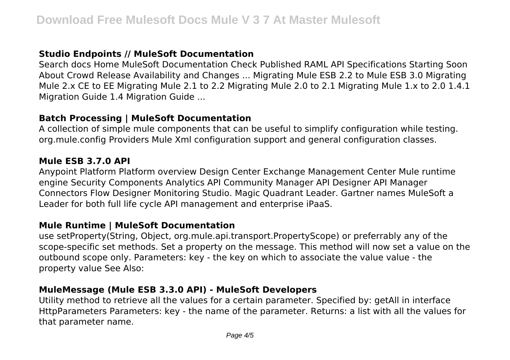# **Studio Endpoints // MuleSoft Documentation**

Search docs Home MuleSoft Documentation Check Published RAML API Specifications Starting Soon About Crowd Release Availability and Changes ... Migrating Mule ESB 2.2 to Mule ESB 3.0 Migrating Mule 2.x CE to EE Migrating Mule 2.1 to 2.2 Migrating Mule 2.0 to 2.1 Migrating Mule 1.x to 2.0 1.4.1 Migration Guide 1.4 Migration Guide ...

#### **Batch Processing | MuleSoft Documentation**

A collection of simple mule components that can be useful to simplify configuration while testing. org.mule.config Providers Mule Xml configuration support and general configuration classes.

#### **Mule ESB 3.7.0 API**

Anypoint Platform Platform overview Design Center Exchange Management Center Mule runtime engine Security Components Analytics API Community Manager API Designer API Manager Connectors Flow Designer Monitoring Studio. Magic Quadrant Leader. Gartner names MuleSoft a Leader for both full life cycle API management and enterprise iPaaS.

#### **Mule Runtime | MuleSoft Documentation**

use setProperty(String, Object, org.mule.api.transport.PropertyScope) or preferrably any of the scope-specific set methods. Set a property on the message. This method will now set a value on the outbound scope only. Parameters: key - the key on which to associate the value value - the property value See Also:

#### **MuleMessage (Mule ESB 3.3.0 API) - MuleSoft Developers**

Utility method to retrieve all the values for a certain parameter. Specified by: getAll in interface HttpParameters Parameters: key - the name of the parameter. Returns: a list with all the values for that parameter name.